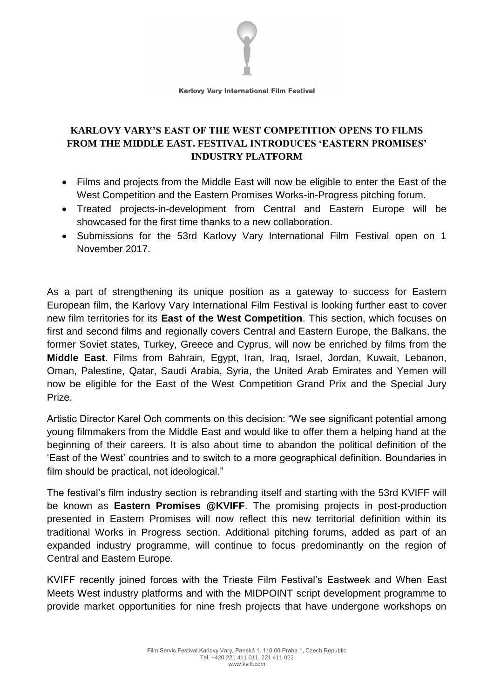

**Karlovy Vary International Film Festival** 

## **KARLOVY VARY'S EAST OF THE WEST COMPETITION OPENS TO FILMS FROM THE MIDDLE EAST. FESTIVAL INTRODUCES 'EASTERN PROMISES' INDUSTRY PLATFORM**

- Films and projects from the Middle East will now be eligible to enter the East of the West Competition and the Eastern Promises Works-in-Progress pitching forum.
- Treated projects-in-development from Central and Eastern Europe will be showcased for the first time thanks to a new collaboration.
- Submissions for the 53rd Karlovy Vary International Film Festival open on 1 November 2017.

As a part of strengthening its unique position as a gateway to success for Eastern European film, the Karlovy Vary International Film Festival is looking further east to cover new film territories for its **East of the West Competition**. This section, which focuses on first and second films and regionally covers Central and Eastern Europe, the Balkans, the former Soviet states, Turkey, Greece and Cyprus, will now be enriched by films from the **Middle East**. Films from Bahrain, Egypt, Iran, Iraq, Israel, Jordan, Kuwait, Lebanon, Oman, Palestine, Qatar, Saudi Arabia, Syria, the United Arab Emirates and Yemen will now be eligible for the East of the West Competition Grand Prix and the Special Jury Prize.

Artistic Director Karel Och comments on this decision: "We see significant potential among young filmmakers from the Middle East and would like to offer them a helping hand at the beginning of their careers. It is also about time to abandon the political definition of the 'East of the West' countries and to switch to a more geographical definition. Boundaries in film should be practical, not ideological."

The festival's film industry section is rebranding itself and starting with the 53rd KVIFF will be known as **Eastern Promises @KVIFF**. The promising projects in post-production presented in Eastern Promises will now reflect this new territorial definition within its traditional Works in Progress section. Additional pitching forums, added as part of an expanded industry programme, will continue to focus predominantly on the region of Central and Eastern Europe.

KVIFF recently joined forces with the Trieste Film Festival's Eastweek and When East Meets West industry platforms and with the MIDPOINT script development programme to provide market opportunities for nine fresh projects that have undergone workshops on